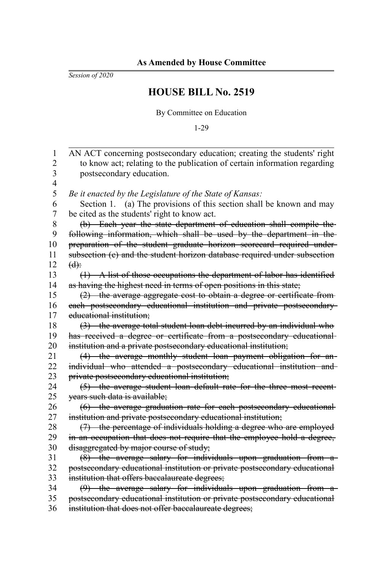*Session of 2020*

## **HOUSE BILL No. 2519**

By Committee on Education

1-29

| 1              | AN ACT concerning postsecondary education; creating the students' right    |
|----------------|----------------------------------------------------------------------------|
| $\overline{c}$ | to know act; relating to the publication of certain information regarding  |
| 3              | postsecondary education.                                                   |
| $\overline{4}$ |                                                                            |
| 5              | Be it enacted by the Legislature of the State of Kansas:                   |
| 6              | Section 1. (a) The provisions of this section shall be known and may       |
| $\overline{7}$ | be cited as the students' right to know act.                               |
| 8              | (b) Each year the state department of education shall compile the-         |
| 9              | following information, which shall be used by the department in the-       |
| 10             | preparation of the student graduate horizon scorecard required under-      |
| 11             | subsection (c) and the student horizon database required under subsection  |
| 12             | $(d)$ :                                                                    |
| 13             | $(1)$ A list of those occupations the department of labor has identified   |
| 14             | as having the highest need in terms of open positions in this state;       |
| 15             | $(2)$ the average aggregate cost to obtain a degree or certificate from    |
| 16             | each postsecondary educational institution and private postsecondary       |
| 17             | educational institution;                                                   |
| 18             | (3) the average total student loan debt incurred by an individual who      |
| 19             | has received a degree or certificate from a postsecondary educational-     |
| 20             | institution and a private postsecondary educational institution;           |
| 21             | (4) the average monthly student loan payment obligation for an-            |
| 22             | individual who attended a postsecondary educational institution and        |
| 23             | private postsecondary educational institution;                             |
| 24             | (5) the average student loan default rate for the three most recent-       |
| 25             | years such data is available;                                              |
| 26             | (6) the average graduation rate for each postsecondary educational-        |
| 27             | institution and private postsecondary educational institution;             |
| $28\,$         | (7) the percentage of individuals holding a degree who are employed        |
| 29             | in an occupation that does not require that the employee hold a degree,    |
| 30             | disaggregated by major course of study;                                    |
| 31             | (8) the average salary for individuals upon graduation from a              |
| 32             | postsecondary educational institution or private postsecondary educational |
| 33             | institution that offers baccalaureate degrees;                             |
| 34             | (9) the average salary for individuals upon graduation from a              |
| 35             | postsecondary educational institution or private postsecondary educational |
| 36             | institution that does not offer baccalaureate degrees;                     |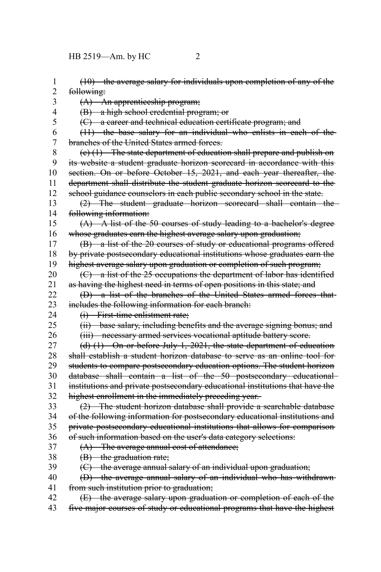HB 2519—Am. by HC 2

| 1              | $(10)$ the average salary for individuals upon completion of any of the       |
|----------------|-------------------------------------------------------------------------------|
| $\overline{2}$ | following:                                                                    |
| 3              | (A) An apprenticeship program;                                                |
| $\overline{4}$ | (B) a high school credential program; or                                      |
| 5              | (C) a career and technical education certificate program; and                 |
| 6              | $(11)$ the base salary for an individual who enlists in each of the           |
| $\overline{7}$ | branches of the United States armed forces.                                   |
| 8              | $(e)$ (1) The state department of education shall prepare and publish on      |
| 9              | its website a student graduate horizon scorecard in accordance with this-     |
| 10             | section. On or before October 15, 2021, and each year thereafter, the         |
| 11             | department shall distribute the student graduate horizon scorecard to the     |
| 12             | school guidance counselors in each public secondary school in the state.      |
| 13             | (2) The student graduate horizon scorecard shall contain the                  |
| 14             | following information:                                                        |
| 15             | (A) A list of the 50 courses of study leading to a bachelor's degree          |
| 16             | whose graduates earn the highest average salary upon graduation;              |
| 17             | (B) a list of the 20 courses of study or educational programs offered         |
| 18             | by private postsecondary educational institutions whose graduates earn the    |
| 19             | highest average salary upon graduation or completion of such program;         |
| 20             | (C) a list of the 25 occupations the department of labor has identified       |
| 21             | as having the highest need in terms of open positions in this state; and      |
| 22             | (D) a list of the branches of the United States armed forces that-            |
| 23             | includes the following information for each branch:                           |
| 24             | (i) First-time enlistment rate;                                               |
| 25             | (ii) base salary, including benefits and the average signing bonus; and       |
| 26             | (iii) necessary armed services vocational aptitude battery score.             |
| 27             | $(d)$ (1) On or before July 1, 2021, the state department of education        |
| 28             | shall establish a student horizon database to serve as an online tool for-    |
| 29             | students to compare postsecondary education options. The student horizon      |
| 30             | database shall contain a list of the 50 postsecondary educational             |
| 31             | institutions and private postsecondary educational institutions that have the |
| 32             | highest enrollment in the immediately preceding year.                         |
| 33             | (2) The student horizon database shall provide a searchable database          |
| 34             | of the following information for postsecondary educational institutions and   |
| 35             | private postsecondary educational institutions that allows for comparison     |
| 36             | of such information based on the user's data category selections:             |
| 37             | $(A)$ The average annual cost of attendance;                                  |
| 38             | $(B)$ the graduation rate;                                                    |
| 39             | (C) the average annual salary of an individual upon graduation;               |
| 40             | (D) the average annual salary of an individual who has withdrawn-             |
| 41             | from such institution prior to graduation;                                    |
| 42             | (E) the average salary upon graduation or completion of each of the           |
| 43             | five major courses of study or educational programs that have the highest     |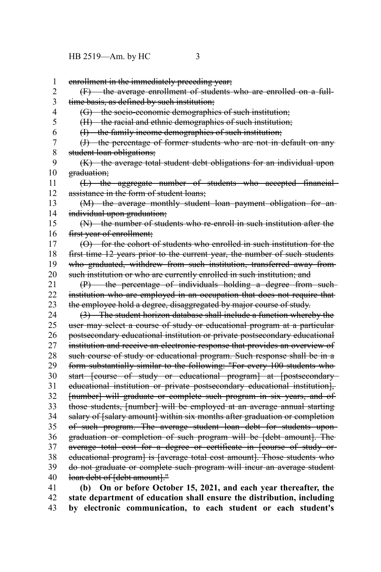enrollment in the immediately preceding year; (F) the average enrollment of students who are enrolled on a fulltime basis, as defined by such institution; (G) the socio-economic demographics of such institution; (H) the racial and ethnic demographics of such institution; (I) the family income demographics of such institution; (J) the percentage of former students who are not in default on any student loan obligations; (K) the average total student debt obligations for an individual upon graduation; (L) the aggregate number of students who accepted financial assistance in the form of student loans; (M) the average monthly student loan payment obligation for an individual upon graduation; (N) the number of students who re-enroll in such institution after the first year of enrollment; (O) for the cohort of students who enrolled in such institution for the first time 12 years prior to the current year, the number of such students who graduated, withdrew from such institution, transferred away fromsuch institution or who are currently enrolled in such institution; and (P) the percentage of individuals holding a degree from such institution who are employed in an occupation that does not require that the employee hold a degree, disaggregated by major course of study. (3) The student horizon database shall include a function whereby the user may select a course of study or educational program at a particular postsecondary educational institution or private postsecondary educational institution and receive an electronic response that provides an overview of such course of study or educational program. Such response shall be in a form substantially similar to the following: "For every 100 students who start [course of study or educational program] at [postsecondaryeducational institution or private postsecondary educational institution], [number] will graduate or complete such program in six years, and of those students, [number] will be employed at an average annual starting salary of [salary amount] within six months after graduation or completion of such program. The average student loan debt for students upon graduation or completion of such program will be [debt amount]. The average total cost for a degree or certificate in [course of study or educational program] is [average total cost amount]. Those students who do not graduate or complete such program will incur an average student loan debt of [debt amount]." **(b) On or before October 15, 2021, and each year thereafter, the** 1 2 3 4 5 6 7 8 9 10 11 12 13 14 15 16 17 18 19 20 21 22 23 24 25 26 27 28 29 30 31 32 33 34 35 36 37 38 39 40 41

**state department of education shall ensure the distribution, including by electronic communication, to each student or each student's** 42 43